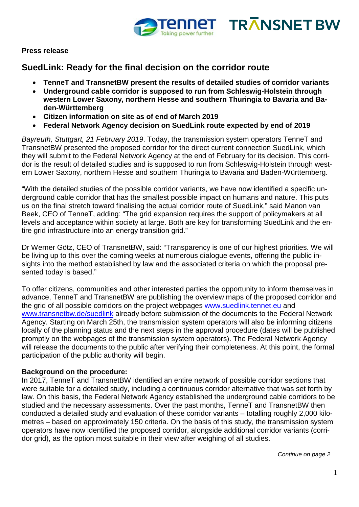



### **Press release**

# **SuedLink: Ready for the final decision on the corridor route**

- **TenneT and TransnetBW present the results of detailed studies of corridor variants**
- **Underground cable corridor is supposed to run from Schleswig-Holstein through western Lower Saxony, northern Hesse and southern Thuringia to Bavaria and Baden-Württemberg**
- **Citizen information on site as of end of March 2019**
- **Federal Network Agency decision on SuedLink route expected by end of 2019**

*Bayreuth, Stuttgart, 21 February 2019*. Today, the transmission system operators TenneT and TransnetBW presented the proposed corridor for the direct current connection SuedLink, which they will submit to the Federal Network Agency at the end of February for its decision. This corridor is the result of detailed studies and is supposed to run from Schleswig-Holstein through western Lower Saxony, northern Hesse and southern Thuringia to Bavaria and Baden-Württemberg.

"With the detailed studies of the possible corridor variants, we have now identified a specific underground cable corridor that has the smallest possible impact on humans and nature. This puts us on the final stretch toward finalising the actual corridor route of SuedLink," said Manon van Beek, CEO of TenneT, adding: "The grid expansion requires the support of policymakers at all levels and acceptance within society at large. Both are key for transforming SuedLink and the entire grid infrastructure into an energy transition grid."

Dr Werner Götz, CEO of TransnetBW, said: "Transparency is one of our highest priorities. We will be living up to this over the coming weeks at numerous dialogue events, offering the public insights into the method established by law and the associated criteria on which the proposal presented today is based."

To offer citizens, communities and other interested parties the opportunity to inform themselves in advance, TenneT and TransnetBW are publishing the overview maps of the proposed corridor and the grid of all possible corridors on the project webpages [www.suedlink.tennet.eu](http://www.suedlink.tennet.eu/) and [www.transnetbw.de/suedlink](http://www.transnetbw.de/suedlink) already before submission of the documents to the Federal Network Agency. Starting on March 25th, the transmission system operators will also be informing citizens locally of the planning status and the next steps in the approval procedure (dates will be published promptly on the webpages of the transmission system operators). The Federal Network Agency will release the documents to the public after verifying their completeness. At this point, the formal participation of the public authority will begin.

# **Background on the procedure:**

In 2017, TenneT and TransnetBW identified an entire network of possible corridor sections that were suitable for a detailed study, including a continuous corridor alternative that was set forth by law. On this basis, the Federal Network Agency established the underground cable corridors to be studied and the necessary assessments. Over the past months, TenneT and TransnetBW then conducted a detailed study and evaluation of these corridor variants – totalling roughly 2,000 kilometres – based on approximately 150 criteria. On the basis of this study, the transmission system operators have now identified the proposed corridor, alongside additional corridor variants (corridor grid), as the option most suitable in their view after weighing of all studies.